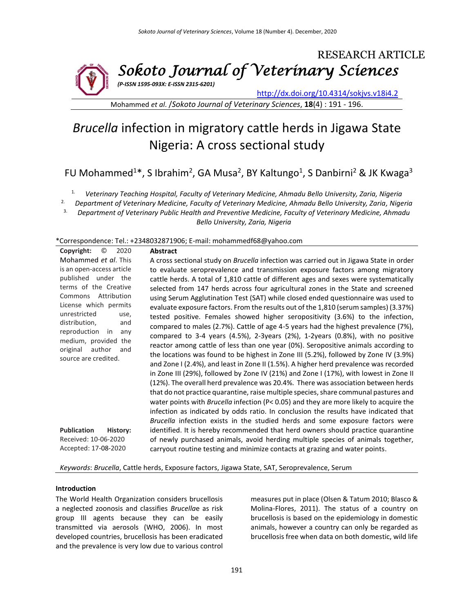RESEARCH ARTICLE *Sokoto Journal of Veterinary Sciences (P-ISSN 1595-093X: E-ISSN 2315-6201)*

<http://dx.doi.org/10.4314/sokjvs.v18i4.2>

Mohammed *et al*. /*Sokoto Journal of Veterinary Sciences*, **18**(4) : 191 - 196.

# *Brucella* infection in migratory cattle herds in Jigawa State Nigeria: A cross sectional study

FU Mohammed<sup>1\*</sup>, S Ibrahim<sup>2</sup>, GA Musa<sup>2</sup>, BY Kaltungo<sup>1</sup>, S Danbirni<sup>2</sup> & JK Kwaga<sup>3</sup>

1. *Veterinary Teaching Hospital, Faculty of Veterinary Medicine, Ahmadu Bello University, Zaria, Nigeria*

2. *Department of Veterinary Medicine, Faculty of Veterinary Medicine, Ahmadu Bello University, Zaria, Nigeria*

3. *Department of Veterinary Public Health and Preventive Medicine, Faculty of Veterinary Medicine, Ahmadu Bello University, Zaria, Nigeria*

\*Correspondence: Tel.: +2348032871906; E-mail: mohammedf68@yahoo.com

| Copyright:<br>$^\copyright$<br>2020                                                                                                                                                                                                                                                    | <b>Abstract</b>                                                                                                                                                                                                                                                                                                                                                                                                                                                                                                                                                                                                                                                                                                                                                                                                                                                                                                                                                                                                                                                                                                                                                                                                                                                                                                                                                                                                                       |
|----------------------------------------------------------------------------------------------------------------------------------------------------------------------------------------------------------------------------------------------------------------------------------------|---------------------------------------------------------------------------------------------------------------------------------------------------------------------------------------------------------------------------------------------------------------------------------------------------------------------------------------------------------------------------------------------------------------------------------------------------------------------------------------------------------------------------------------------------------------------------------------------------------------------------------------------------------------------------------------------------------------------------------------------------------------------------------------------------------------------------------------------------------------------------------------------------------------------------------------------------------------------------------------------------------------------------------------------------------------------------------------------------------------------------------------------------------------------------------------------------------------------------------------------------------------------------------------------------------------------------------------------------------------------------------------------------------------------------------------|
| Mohammed et al. This                                                                                                                                                                                                                                                                   | A cross sectional study on Brucella infection was carried out in Jigawa State in order                                                                                                                                                                                                                                                                                                                                                                                                                                                                                                                                                                                                                                                                                                                                                                                                                                                                                                                                                                                                                                                                                                                                                                                                                                                                                                                                                |
| is an open-access article<br>published under the<br>terms of the Creative<br>Attribution<br>Commons<br>License which permits<br>unrestricted<br>use,<br>distribution,<br>and<br>reproduction<br>in<br>any<br>medium, provided the<br>original<br>author<br>and<br>source are credited. | to evaluate seroprevalence and transmission exposure factors among migratory<br>cattle herds. A total of 1,810 cattle of different ages and sexes were systematically<br>selected from 147 herds across four agricultural zones in the State and screened<br>using Serum Agglutination Test (SAT) while closed ended questionnaire was used to<br>evaluate exposure factors. From the results out of the 1,810 (serum samples) (3.37%)<br>tested positive. Females showed higher seropositivity (3.6%) to the infection,<br>compared to males (2.7%). Cattle of age 4-5 years had the highest prevalence (7%),<br>compared to 3-4 years (4.5%), 2-3years (2%), 1-2years (0.8%), with no positive<br>reactor among cattle of less than one year (0%). Seropositive animals according to<br>the locations was found to be highest in Zone III (5.2%), followed by Zone IV (3.9%)<br>and Zone I (2.4%), and least in Zone II (1.5%). A higher herd prevalence was recorded<br>in Zone III (29%), followed by Zone IV (21%) and Zone I (17%), with lowest in Zone II<br>(12%). The overall herd prevalence was 20.4%. There was association between herds<br>that do not practice quarantine, raise multiple species, share communal pastures and<br>water points with <i>Brucella</i> infection (P< 0.05) and they are more likely to acquire the<br>infection as indicated by odds ratio. In conclusion the results have indicated that |
| <b>Publication</b><br>History:<br>Received: 10-06-2020<br>Accepted: 17-08-2020                                                                                                                                                                                                         | Brucella infection exists in the studied herds and some exposure factors were<br>identified. It is hereby recommended that herd owners should practice quarantine<br>of newly purchased animals, avoid herding multiple species of animals together,<br>carryout routine testing and minimize contacts at grazing and water points.                                                                                                                                                                                                                                                                                                                                                                                                                                                                                                                                                                                                                                                                                                                                                                                                                                                                                                                                                                                                                                                                                                   |

*Keywords*: *Brucella*, Cattle herds, Exposure factors, Jigawa State, SAT, Seroprevalence, Serum

#### **Introduction**

The World Health Organization considers brucellosis a neglected zoonosis and classifies *Brucella*e as risk group III agents because they can be easily transmitted via aerosols (WHO, 2006). In most developed countries, brucellosis has been eradicated and the prevalence is very low due to various control

measures put in place (Olsen & Tatum 2010; Blasco & Molina-Flores, 2011). The status of a country on brucellosis is based on the epidemiology in domestic animals, however a country can only be regarded as brucellosis free when data on both domestic, wild life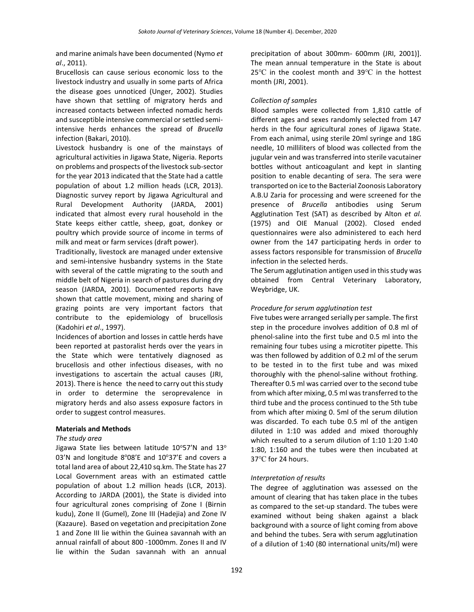and marine animals have been documented (Nymo *et al*., 2011).

Brucellosis can cause serious economic loss to the livestock industry and usually in some parts of Africa the disease goes unnoticed (Unger, 2002). Studies have shown that settling of migratory herds and increased contacts between infected nomadic herds and susceptible intensive commercial or settled semiintensive herds enhances the spread of *Brucella* infection (Bakari, 2010).

Livestock husbandry is one of the mainstays of agricultural activities in Jigawa State, Nigeria. Reports on problems and prospects of the livestock sub-sector for the year 2013 indicated that the State had a cattle population of about 1.2 million heads (LCR, 2013). Diagnostic survey report by Jigawa Agricultural and Rural Development Authority (JARDA, 2001) indicated that almost every rural household in the State keeps either cattle, sheep, goat, donkey or poultry which provide source of income in terms of milk and meat or farm services (draft power).

Traditionally, livestock are managed under extensive and semi-intensive husbandry systems in the State with several of the cattle migrating to the south and middle belt of Nigeria in search of pastures during dry season (JARDA, 2001). Documented reports have shown that cattle movement, mixing and sharing of grazing points are very important factors that contribute to the epidemiology of brucellosis (Kadohiri *et al*., 1997).

Incidences of abortion and losses in cattle herds have been reported at pastoralist herds over the years in the State which were tentatively diagnosed as brucellosis and other infectious diseases, with no investigations to ascertain the actual causes (JRI, 2013). There is hence the need to carry out this study in order to determine the seroprevalence in migratory herds and also assess exposure factors in order to suggest control measures.

#### **Materials and Methods**

#### *The study area*

Jigawa State lies between latitude  $10^{\circ}57'$ N and  $13^{\circ}$ 03'N and longitude 8°08'E and 10°37'E and covers a total land area of about 22,410 sq.km. The State has 27 Local Government areas with an estimated cattle population of about 1.2 million heads (LCR, 2013). According to JARDA (2001), the State is divided into four agricultural zones comprising of Zone I (Birnin kudu), Zone II (Gumel), Zone III (Hadejia) and Zone IV (Kazaure). Based on vegetation and precipitation Zone 1 and Zone III lie within the Guinea savannah with an annual rainfall of about 800 -1000mm. Zones II and IV lie within the Sudan savannah with an annual precipitation of about 300mm- 600mm (JRI, 2001)]. The mean annual temperature in the State is about 25℃ in the coolest month and 39℃ in the hottest month (JRI, 2001).

#### *Collection of samples*

Blood samples were collected from 1,810 cattle of different ages and sexes randomly selected from 147 herds in the four agricultural zones of Jigawa State. From each animal, using sterile 20ml syringe and 18G needle, 10 milliliters of blood was collected from the jugular vein and was transferred into sterile vacutainer bottles without anticoagulant and kept in slanting position to enable decanting of sera. The sera were transported on ice to the Bacterial Zoonosis Laboratory A.B.U Zaria for processing and were screened for the presence of *Brucella* antibodies using Serum Agglutination Test (SAT) as described by Alton *et al.* (1975) and OIE Manual (2002). Closed ended questionnaires were also administered to each herd owner from the 147 participating herds in order to assess factors responsible for transmission of *Brucella* infection in the selected herds.

The Serum agglutination antigen used in this study was obtained from Central Veterinary Laboratory, Weybridge, UK.

#### *Procedure for serum agglutination test*

Five tubes were arranged serially per sample. The first step in the procedure involves addition of 0.8 ml of phenol-saline into the first tube and 0.5 ml into the remaining four tubes using a microtiter pipette. This was then followed by addition of 0.2 ml of the serum to be tested in to the first tube and was mixed thoroughly with the phenol-saline without frothing. Thereafter 0.5 ml was carried over to the second tube from which after mixing, 0.5 ml was transferred to the third tube and the process continued to the 5th tube from which after mixing 0. 5ml of the serum dilution was discarded. To each tube 0.5 ml of the antigen diluted in 1:10 was added and mixed thoroughly which resulted to a serum dilution of 1:10 1:20 1:40 1:80, 1:160 and the tubes were then incubated at 37℃ for 24 hours.

#### *Interpretation of results*

The degree of agglutination was assessed on the amount of clearing that has taken place in the tubes as compared to the set-up standard. The tubes were examined without being shaken against a black background with a source of light coming from above and behind the tubes. Sera with serum agglutination of a dilution of 1:40 (80 international units/ml) were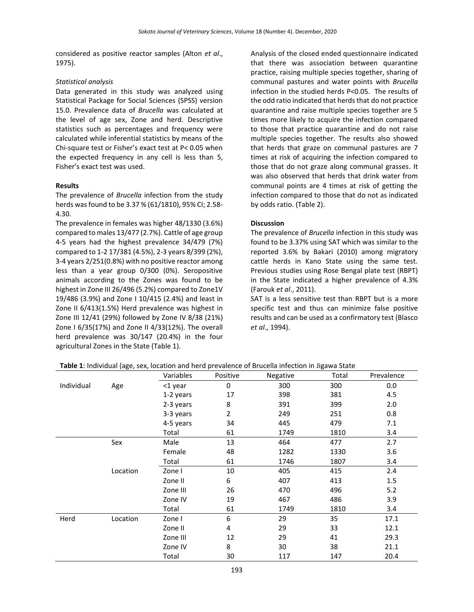considered as positive reactor samples (Alton *et al*., 1975).

#### *Statistical analysis*

Data generated in this study was analyzed using Statistical Package for Social Sciences (SPSS) version 15.0. Prevalence data of *Brucella* was calculated at the level of age sex, Zone and herd. Descriptive statistics such as percentages and frequency were calculated while inferential statistics by means of the Chi-square test or Fisher's exact test at P< 0.05 when the expected frequency in any cell is less than 5, Fisher's exact test was used.

### **Results**

The prevalence of *Brucella* infection from the study herds was found to be 3.37 % (61/1810), 95% CI; 2.58- 4.30.

The prevalence in females was higher 48/1330 (3.6%) compared to males 13/477 (2.7%). Cattle of age group 4-5 years had the highest prevalence 34/479 (7%) compared to 1-2 17/381 (4.5%), 2-3 years 8/399 (2%), 3-4 years 2/251(0.8%) with no positive reactor among less than a year group 0/300 (0%). Seropositive animals according to the Zones was found to be highest in Zone III 26/496 (5.2%) compared to Zone1V 19/486 (3.9%) and Zone I 10/415 (2.4%) and least in Zone II 6/413(1.5%) Herd prevalence was highest in Zone III 12/41 (29%) followed by Zone IV 8/38 (21%) Zone I 6/35(17%) and Zone II 4/33(12%). The overall herd prevalence was 30/147 (20.4%) in the four agricultural Zones in the State (Table 1).

Analysis of the closed ended questionnaire indicated that there was association between quarantine practice, raising multiple species together, sharing of communal pastures and water points with *Brucella* infection in the studied herds P<0.05. The results of the odd ratio indicated that herds that do not practice quarantine and raise multiple species together are 5 times more likely to acquire the infection compared to those that practice quarantine and do not raise multiple species together. The results also showed that herds that graze on communal pastures are 7 times at risk of acquiring the infection compared to those that do not graze along communal grasses. It was also observed that herds that drink water from communal points are 4 times at risk of getting the infection compared to those that do not as indicated by odds ratio. (Table 2).

#### **Discussion**

The prevalence of *Brucella* infection in this study was found to be 3.37% using SAT which was similar to the reported 3.6% by Bakari (2010) among migratory cattle herds in Kano State using the same test. Previous studies using Rose Bengal plate test (RBPT) in the State indicated a higher prevalence of 4.3% (Farouk *et al*., 2011).

SAT is a less sensitive test than RBPT but is a more specific test and thus can minimize false positive results and can be used as a confirmatory test (Blasco *et al*., 1994).

|            |          | Variables | Positive       | Negative | Total | Prevalence |
|------------|----------|-----------|----------------|----------|-------|------------|
| Individual | Age      | <1 year   | 0              | 300      | 300   | 0.0        |
|            |          | 1-2 years | 17             | 398      | 381   | 4.5        |
|            |          | 2-3 years | 8              | 391      | 399   | 2.0        |
|            |          | 3-3 years | $\overline{2}$ | 249      | 251   | 0.8        |
|            |          | 4-5 years | 34             | 445      | 479   | 7.1        |
|            |          | Total     | 61             | 1749     | 1810  | 3.4        |
|            | Sex      | Male      | 13             | 464      | 477   | 2.7        |
|            |          | Female    | 48             | 1282     | 1330  | 3.6        |
|            |          | Total     | 61             | 1746     | 1807  | 3.4        |
|            | Location | Zone I    | 10             | 405      | 415   | 2.4        |
|            |          | Zone II   | 6              | 407      | 413   | 1.5        |
|            |          | Zone III  | 26             | 470      | 496   | 5.2        |
|            |          | Zone IV   | 19             | 467      | 486   | 3.9        |
|            |          | Total     | 61             | 1749     | 1810  | 3.4        |
| Herd       | Location | Zone I    | 6              | 29       | 35    | 17.1       |
|            |          | Zone II   | 4              | 29       | 33    | 12.1       |
|            |          | Zone III  | 12             | 29       | 41    | 29.3       |
|            |          | Zone IV   | 8              | 30       | 38    | 21.1       |
|            |          | Total     | 30             | 117      | 147   | 20.4       |

**Table 1**: Individual (age, sex, location and herd prevalence of Brucella infection in Jigawa State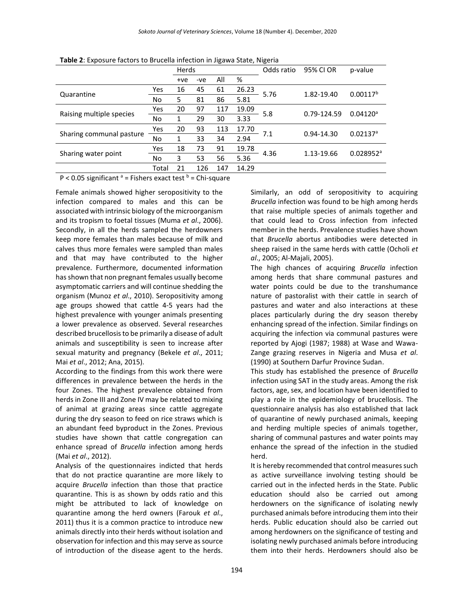|                                                                  |                                                                                                                                                                                                                                | Herds |       |     |       | Odds ratio | 95% CI OR   | p-value                 |
|------------------------------------------------------------------|--------------------------------------------------------------------------------------------------------------------------------------------------------------------------------------------------------------------------------|-------|-------|-----|-------|------------|-------------|-------------------------|
|                                                                  |                                                                                                                                                                                                                                | $+ve$ | $-ve$ | All | %     |            |             |                         |
|                                                                  | Yes                                                                                                                                                                                                                            | 16    | 45    | 61  | 26.23 | 5.76       | 1.82-19.40  | $0.00117^{b}$           |
| Quarantine                                                       | No                                                                                                                                                                                                                             | 5     | 81    | 86  | 5.81  |            |             |                         |
| Raising multiple species                                         | Yes                                                                                                                                                                                                                            | 20    | 97    | 117 | 19.09 | 5.8        | 0.79-124.59 | $0.04120^a$             |
|                                                                  | No                                                                                                                                                                                                                             | 1     | 29    | 30  | 3.33  |            |             |                         |
| Sharing communal pasture                                         | Yes                                                                                                                                                                                                                            | 20    | 93    | 113 | 17.70 | 7.1        | 0.94-14.30  | $0.02137$ <sup>a</sup>  |
|                                                                  | No                                                                                                                                                                                                                             | 1     | 33    | 34  | 2.94  |            |             |                         |
| Sharing water point                                              | Yes                                                                                                                                                                                                                            | 18    | 73    | 91  | 19.78 | 4.36       | 1.13-19.66  | $0.028952$ <sup>a</sup> |
|                                                                  | No                                                                                                                                                                                                                             | 3     | 53    | 56  | 5.36  |            |             |                         |
|                                                                  | Total                                                                                                                                                                                                                          | 21    | 126   | 147 | 14.29 |            |             |                         |
| $\cdot$ $\cdot$<br>$\sim$ $\sim$ $\sim$<br>$- \cdot$ $-$<br>---- | and the set of the set of the set of the set of the set of the set of the set of the set of the set of the set of the set of the set of the set of the set of the set of the set of the set of the set of the set of the set o |       |       |     |       |            |             |                         |

**Table 2**: Exposure factors to Brucella infection in Jigawa State, Nigeria

 $P < 0.05$  significant  $a =$  Fishers exact test  $b =$  Chi-square

Female animals showed higher seropositivity to the infection compared to males and this can be associated with intrinsic biology of the microorganism and its tropism to foetal tissues (Muma *et al*., 2006). Secondly, in all the herds sampled the herdowners keep more females than males because of milk and calves thus more females were sampled than males and that may have contributed to the higher prevalence. Furthermore, documented information has shown that non pregnant females usually become asymptomatic carriers and will continue shedding the organism (Munoz *et al*., 2010). Seropositivity among age groups showed that cattle 4-5 years had the highest prevalence with younger animals presenting a lower prevalence as observed. Several researches described brucellosis to be primarily a disease of adult animals and susceptibility is seen to increase after sexual maturity and pregnancy (Bekele *et al*., 2011; Mai *et al*., 2012; Ana, 2015).

According to the findings from this work there were differences in prevalence between the herds in the four Zones. The highest prevalence obtained from herds in Zone III and Zone IV may be related to mixing of animal at grazing areas since cattle aggregate during the dry season to feed on rice straws which is an abundant feed byproduct in the Zones. Previous studies have shown that cattle congregation can enhance spread of *Brucella* infection among herds (Mai *et al*., 2012).

Analysis of the questionnaires indicted that herds that do not practice quarantine are more likely to acquire *Brucella* infection than those that practice quarantine. This is as shown by odds ratio and this might be attributed to lack of knowledge on quarantine among the herd owners (Farouk *et al*., 2011) thus it is a common practice to introduce new animals directly into their herds without isolation and observation for infection and this may serve as source of introduction of the disease agent to the herds. Similarly, an odd of seropositivity to acquiring *Brucella* infection was found to be high among herds that raise multiple species of animals together and that could lead to Cross infection from infected member in the herds. Prevalence studies have shown that *Brucella* abortus antibodies were detected in sheep raised in the same herds with cattle (Ocholi *et al*., 2005; Al-Majali, 2005).

The high chances of acquiring *Brucella* infection among herds that share communal pastures and water points could be due to the transhumance nature of pastoralist with their cattle in search of pastures and water and also interactions at these places particularly during the dry season thereby enhancing spread of the infection. Similar findings on acquiring the infection via communal pastures were reported by Ajogi (1987; 1988) at Wase and Wawa-Zange grazing reserves in Nigeria and Musa *et al*. (1990) at Southern Darfur Province Sudan.

This study has established the presence of *Brucella* infection using SAT in the study areas. Among the risk factors, age, sex, and location have been identified to play a role in the epidemiology of brucellosis. The questionnaire analysis has also established that lack of quarantine of newly purchased animals, keeping and herding multiple species of animals together, sharing of communal pastures and water points may enhance the spread of the infection in the studied herd.

It is hereby recommended that control measures such as active surveillance involving testing should be carried out in the infected herds in the State. Public education should also be carried out among herdowners on the significance of isolating newly purchased animals before introducing them into their herds. Public education should also be carried out among herdowners on the significance of testing and isolating newly purchased animals before introducing them into their herds. Herdowners should also be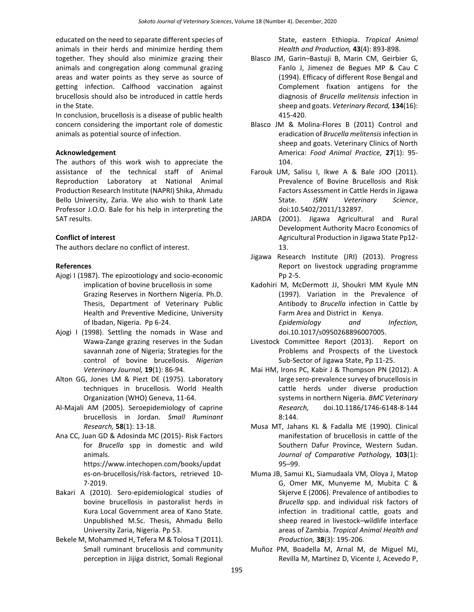educated on the need to separate different species of animals in their herds and minimize herding them together. They should also minimize grazing their animals and congregation along communal grazing areas and water points as they serve as source of getting infection. Calfhood vaccination against brucellosis should also be introduced in cattle herds in the State.

In conclusion, brucellosis is a disease of public health concern considering the important role of domestic animals as potential source of infection.

#### **Acknowledgement**

The authors of this work wish to appreciate the assistance of the technical staff of Animal Reproduction Laboratory at National Animal Production Research Institute (NAPRI) Shika, Ahmadu Bello University, Zaria. We also wish to thank Late Professor J.O.O. Bale for his help in interpreting the SAT results.

### **Conflict of interest**

The authors declare no conflict of interest.

## **References**

- Ajogi I (1987). The epizootiology and socio-economic implication of bovine brucellosis in some Grazing Reserves in Northern Nigeria. Ph.D. Thesis, Department of Veterinary Public Health and Preventive Medicine, University of Ibadan, Nigeria. Pp 6-24.
- Ajogi I (1998). Settling the nomads in Wase and Wawa-Zange grazing reserves in the Sudan savannah zone of Nigeria; Strategies for the control of bovine brucellosis. *Nigerian Veterinary Journal,* **19**(1): 86-94.
- Alton GG, Jones LM & Piezt DE (1975). Laboratory techniques in brucellosis. World Health Organization (WHO) Geneva, 11-64.
- Al-Majali AM (2005). Seroepidemiology of caprine brucellosis in Jordan. *Small Ruminant Research,* **58**(1): 13-18.
- Ana CC, Juan GD & Adosinda MC (2015)- Risk Factors for *Brucella* spp in domestic and wild animals. https://www.intechopen.com/books/updat es-on-brucellosis/risk-factors, retrieved 10- 7-2019.
- Bakari A (2010). Sero-epidemiological studies of bovine brucellosis in pastoralist herds in Kura Local Government area of Kano State. Unpublished M.Sc. Thesis, Ahmadu Bello University Zaria, Nigeria. Pp 53.
- Bekele M, Mohammed H, Tefera M & Tolosa T (2011). Small ruminant brucellosis and community perception in Jijiga district, Somali Regional

State, eastern Ethiopia. *Tropical Animal Health and Production,* **43**(4): 893-898.

- Blasco JM, Garin–Bastuji B, Marin CM, Geirbier G, Fanlo J, Jimenez de Begues MP & Cau C (1994). Efficacy of different Rose Bengal and Complement fixation antigens for the diagnosis of *Brucella melitensis* infection in sheep and goats. *Veterinary Record,* **134**(16): 415-420.
- Blasco JM & Molina-Flores B (2011) Control and eradication of *Brucella melitensis*infection in sheep and goats. Veterinary Clinics of North America: *Food Animal Practice,* **27**(1): 95- 104.
- Farouk UM, Salisu I, Ikwe A & Bale JOO (2011). Prevalence of Bovine Brucellosis and Risk Factors Assessment in Cattle Herds in Jigawa State. *ISRN Veterinary Science*, doi:10.5402/2011/132897.
- JARDA (2001). Jigawa Agricultural and Rural Development Authority Macro Economics of Agricultural Production in Jigawa State Pp12- 13.
- Jigawa Research Institute (JRI) (2013). Progress Report on livestock upgrading programme Pp 2-5.
- Kadohiri M, McDermott JJ, Shoukri MM Kyule MN (1997). Variation in the Prevalence of Antibody to *Brucella* infection in Cattle by Farm Area and District in Kenya. *Epidemiology and Infection,*  doi.10.1017/s0950268896007005.
- Livestock Committee Report (2013). Report on Problems and Prospects of the Livestock Sub-Sector of Jigawa State, Pp 11-25.
- Mai HM, Irons PC, Kabir J & Thompson PN (2012). A large sero-prevalence survey of brucellosis in cattle herds under diverse production systems in northern Nigeria. *BMC Veterinary Research,* doi.10.1186/1746-6148-8-144 8:144.
- Musa MT, Jahans KL & Fadalla ME (1990). Clinical manifestation of brucellosis in cattle of the Southern Dafur Province, Western Sudan. *Journal of Comparative Pathology,* **103**(1): 95–99.
- Muma JB, Samui KL, Siamudaala VM, Oloya J, Matop G, Omer MK, Munyeme M, Mubita C & Skjerve E (2006). Prevalence of antibodies to *Brucella* spp. and individual risk factors of infection in traditional cattle, goats and sheep reared in livestock–wildlife interface areas of Zambia. *Tropical Animal Health and Production,* **38**(3): 195-206.
- Muñoz PM, Boadella M, Arnal M, de Miguel MJ, Revilla M, Martínez D, Vicente J, Acevedo P,